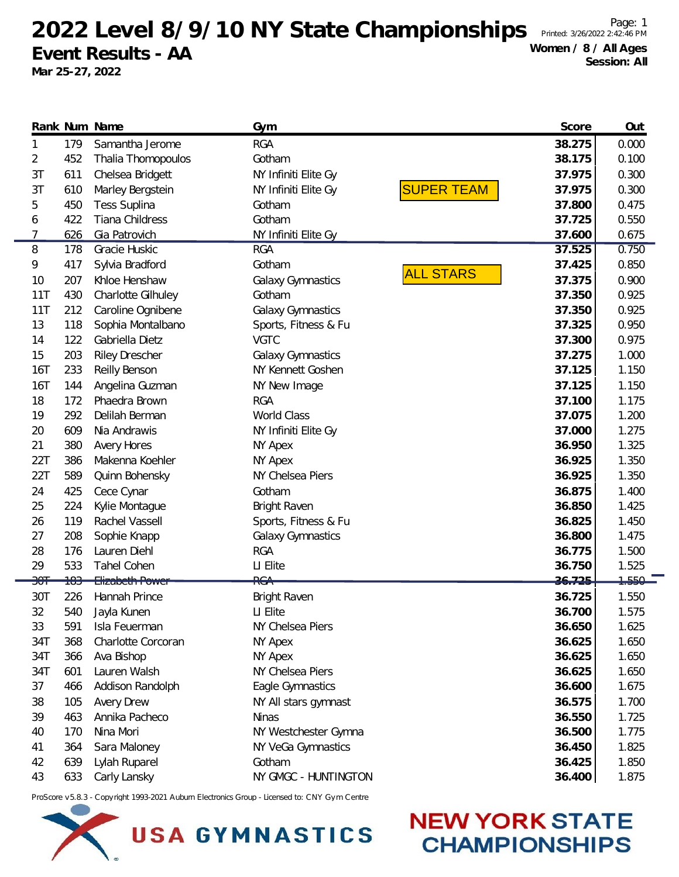2022 Level 8/9/10 NY State Championships Printed: 3/26/2022 2:42:46 Page: 1 **Event Results - AA**

**Mar 25-27, 2022**

**NEW YORK STATE** 

**CHAMPIONSHIPS** 

|                |                | Rank Num Name          | Gym                      | Score                       | Out       |
|----------------|----------------|------------------------|--------------------------|-----------------------------|-----------|
| 1              | 179            | Samantha Jerome        | <b>RGA</b>               | 38.275                      | 0.000     |
| 2              | 452            | Thalia Thomopoulos     | Gotham                   | 38.175                      | 0.100     |
| 3T             | 611            | Chelsea Bridgett       | NY Infiniti Elite Gy     | 37.975                      | 0.300     |
| 3T             | 610            | Marley Bergstein       | NY Infiniti Elite Gy     | <b>SUPER TEAM</b><br>37.975 | 0.300     |
| 5              | 450            | <b>Tess Suplina</b>    | Gotham                   | 37.800                      | 0.475     |
| 6              | 422            | Tiana Childress        | Gotham                   | 37.725                      | 0.550     |
| 7              | 626            | Gia Patrovich          | NY Infiniti Elite Gy     | 37.600                      | 0.675     |
| 8              | 178            | Gracie Huskic          | <b>RGA</b>               | 37.525                      | 0.750     |
| 9              | 417            | Sylvia Bradford        | Gotham                   | 37.425                      | 0.850     |
| 10             | 207            | Khloe Henshaw          | Galaxy Gymnastics        | <b>ALL STARS</b><br>37.375  | 0.900     |
| 11T            | 430            | Charlotte Gilhuley     | Gotham                   | 37.350                      | 0.925     |
| 11T            | 212            | Caroline Ognibene      | Galaxy Gymnastics        | 37.350                      | 0.925     |
| 13             | 118            | Sophia Montalbano      | Sports, Fitness & Fu     | 37.325                      | 0.950     |
| 14             | 122            | Gabriella Dietz        | <b>VGTC</b>              | 37.300                      | 0.975     |
| 15             | 203            | <b>Riley Drescher</b>  | <b>Galaxy Gymnastics</b> | 37.275                      | 1.000     |
| 16T            | 233            | Reilly Benson          | NY Kennett Goshen        | 37.125                      | 1.150     |
| <b>16T</b>     | 144            | Angelina Guzman        | NY New Image             | 37.125                      | 1.150     |
| 18             | 172            | Phaedra Brown          | <b>RGA</b>               | 37.100                      | 1.175     |
| 19             | 292            | Delilah Berman         | World Class              | 37.075                      | 1.200     |
| 20             | 609            | Nia Andrawis           | NY Infiniti Elite Gy     | 37.000                      | 1.275     |
| 21             | 380            | <b>Avery Hores</b>     | NY Apex                  | 36.950                      | 1.325     |
| 22T            | 386            | Makenna Koehler        | NY Apex                  | 36.925                      | 1.350     |
| 22T            | 589            | Quinn Bohensky         | NY Chelsea Piers         | 36.925                      | 1.350     |
| 24             | 425            | Cece Cynar             | Gotham                   | 36.875                      | 1.400     |
| 25             | 224            | Kylie Montague         | <b>Bright Raven</b>      | 36.850                      | 1.425     |
| 26             | 119            | Rachel Vassell         | Sports, Fitness & Fu     | 36.825                      | 1.450     |
| 27             | 208            | Sophie Knapp           | Galaxy Gymnastics        | 36.800                      | 1.475     |
| 28             | 176            | Lauren Diehl           | <b>RGA</b>               | 36.775                      | 1.500     |
| 29             | 533            | Tahel Cohen            | LI Elite                 | 36.750                      | 1.525     |
| <del>301</del> | <del>183</del> | <b>Elizabeth Power</b> | <del>RGA</del>           | 26.725                      | $7,550 -$ |
| 30T            | 226            | Hannah Prince          | <b>Bright Raven</b>      | 36.725                      | 1.550     |
| 32             | 540            | Jayla Kunen            | LI Elite                 | 36.700                      | 1.575     |
| 33             | 591            | Isla Feuerman          | NY Chelsea Piers         | 36.650                      | 1.625     |
| 34T            | 368            | Charlotte Corcoran     | NY Apex                  | 36.625                      | 1.650     |
| 34T            | 366            | Ava Bishop             | NY Apex                  | 36.625                      | 1.650     |
| 34T            | 601            | Lauren Walsh           | NY Chelsea Piers         | 36.625                      | 1.650     |
| 37             | 466            | Addison Randolph       | Eagle Gymnastics         | 36.600                      | 1.675     |
| 38             | 105            | <b>Avery Drew</b>      | NY All stars gymnast     | 36.575                      | 1.700     |
| 39             | 463            | Annika Pacheco         | <b>Ninas</b>             | 36.550                      | 1.725     |
| 40             | 170            | Nina Mori              | NY Westchester Gymna     | 36.500                      | 1.775     |
| 41             | 364            | Sara Maloney           | NY VeGa Gymnastics       | 36.450                      | 1.825     |
| 42             | 639            | Lylah Ruparel          | Gotham                   | 36.425                      | 1.850     |
| 43             | 633            | Carly Lansky           | NY GMGC - HUNTINGTON     | 36.400                      | 1.875     |

ProScore v5.8.3 - Copyright 1993-2021 Auburn Electronics Group - Licensed to: CNY Gym Centre